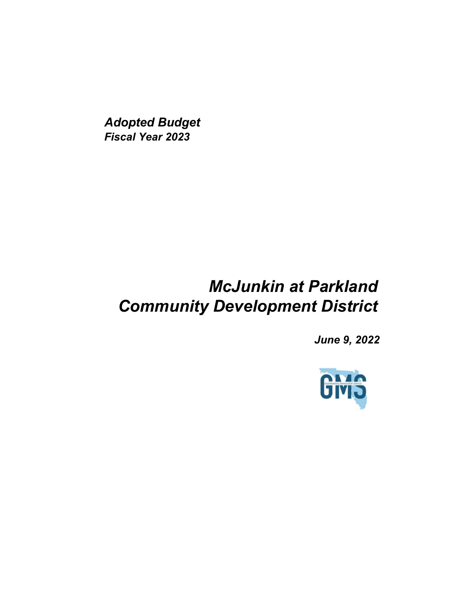*Adopted Budget Fiscal Year 2023*

## *McJunkin at Parkland Community Development District*

*June 9, 2022*

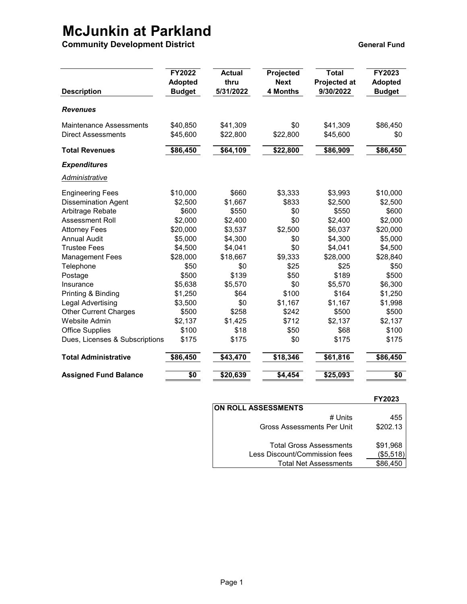## **McJunkin at Parkland**

**Community Development District <b>General Fund** Community Development District

| <b>Description</b>                                          | <b>FY2022</b><br><b>Adopted</b><br><b>Budget</b> | <b>Actual</b><br>thru<br>5/31/2022 | Projected<br><b>Next</b><br>4 Months | <b>Total</b><br>Projected at<br>9/30/2022 | FY2023<br><b>Adopted</b><br><b>Budget</b> |
|-------------------------------------------------------------|--------------------------------------------------|------------------------------------|--------------------------------------|-------------------------------------------|-------------------------------------------|
| <b>Revenues</b>                                             |                                                  |                                    |                                      |                                           |                                           |
| <b>Maintenance Assessments</b><br><b>Direct Assessments</b> | \$40,850<br>\$45,600                             | \$41,309<br>\$22,800               | \$0<br>\$22,800                      | \$41,309<br>\$45,600                      | \$86,450<br>\$0                           |
| <b>Total Revenues</b>                                       | \$86,450                                         | \$64,109                           | \$22,800                             | \$86,909                                  | \$86,450                                  |
| <b>Expenditures</b>                                         |                                                  |                                    |                                      |                                           |                                           |
| <u>Administrative</u>                                       |                                                  |                                    |                                      |                                           |                                           |
| <b>Engineering Fees</b>                                     | \$10,000                                         | \$660                              | \$3,333                              | \$3,993                                   | \$10,000                                  |
| <b>Dissemination Agent</b>                                  | \$2,500                                          | \$1,667                            | \$833                                | \$2,500                                   | \$2,500                                   |
| Arbitrage Rebate                                            | \$600                                            | \$550                              | \$0                                  | \$550                                     | \$600                                     |
| <b>Assessment Roll</b>                                      | \$2,000                                          | \$2,400                            | \$0                                  | \$2,400                                   | \$2,000                                   |
| <b>Attorney Fees</b>                                        | \$20,000                                         | \$3,537                            | \$2,500                              | \$6,037                                   | \$20,000                                  |
| <b>Annual Audit</b>                                         | \$5,000                                          | \$4,300                            | \$0                                  | \$4,300                                   | \$5,000                                   |
| <b>Trustee Fees</b>                                         | \$4,500                                          | \$4,041                            | \$0                                  | \$4,041                                   | \$4,500                                   |
| <b>Management Fees</b>                                      | \$28,000                                         | \$18,667                           | \$9,333                              | \$28,000                                  | \$28,840                                  |
| Telephone                                                   | \$50                                             | \$0                                | \$25                                 | \$25                                      | \$50                                      |
| Postage                                                     | \$500                                            | \$139                              | \$50                                 | \$189                                     | \$500                                     |
| Insurance                                                   | \$5,638                                          | \$5,570                            | \$0                                  | \$5,570                                   | \$6,300                                   |
| Printing & Binding                                          | \$1,250                                          | \$64                               | \$100                                | \$164                                     | \$1,250                                   |
| Legal Advertising                                           | \$3,500                                          | \$0                                | \$1,167                              | \$1,167                                   | \$1,998                                   |
| <b>Other Current Charges</b>                                | \$500                                            | \$258                              | \$242                                | \$500                                     | \$500                                     |
| <b>Website Admin</b>                                        | \$2,137                                          | \$1,425                            | \$712                                | \$2,137                                   | \$2,137                                   |
| <b>Office Supplies</b>                                      | \$100                                            | \$18                               | \$50                                 | \$68                                      | \$100                                     |
| Dues, Licenses & Subscriptions                              | \$175                                            | \$175                              | \$0                                  | \$175                                     | \$175                                     |
| <b>Total Administrative</b>                                 | \$86,450                                         | \$43,470                           | \$18,346                             | \$61,816                                  | \$86,450                                  |
| <b>Assigned Fund Balance</b>                                | $\overline{50}$                                  | \$20,639                           | \$4,454                              | \$25,093                                  | $\overline{50}$                           |

|                                | <b>FY2023</b> |
|--------------------------------|---------------|
| ON ROLL ASSESSMENTS            |               |
| # Units                        | 455           |
| Gross Assessments Per Unit     | \$202.13      |
| <b>Total Gross Assessments</b> | \$91,968      |
| Less Discount/Commission fees  | (\$5,518)     |
| <b>Total Net Assessments</b>   | \$86.450      |
|                                |               |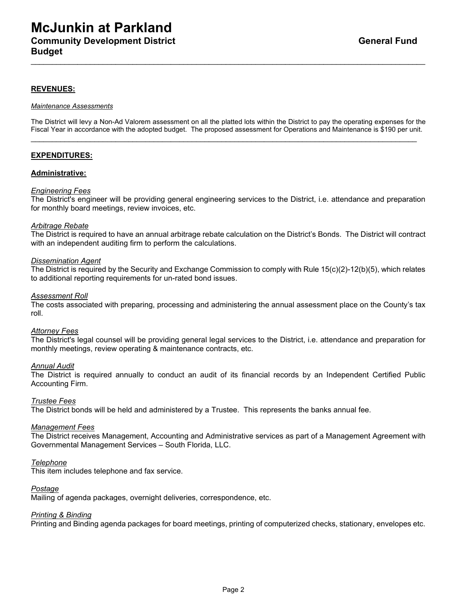### **McJunkin at Parkland Community Development District General Fund According Community Development District Budget**

### **REVENUES:**

#### *Maintenance Assessments*

The District will levy a Non-Ad Valorem assessment on all the platted lots within the District to pay the operating expenses for the Fiscal Year in accordance with the adopted budget. The proposed assessment for Operations and Maintenance is \$190 per unit.

\_\_\_\_\_\_\_\_\_\_\_\_\_\_\_\_\_\_\_\_\_\_\_\_\_\_\_\_\_\_\_\_\_\_\_\_\_\_\_\_\_\_\_\_\_\_\_\_\_\_\_\_\_\_\_\_\_\_\_\_\_\_\_\_\_\_\_\_\_\_\_\_\_\_\_\_\_\_\_\_\_\_\_\_\_\_\_\_\_\_\_

\_\_\_\_\_\_\_\_\_\_\_\_\_\_\_\_\_\_\_\_\_\_\_\_\_\_\_\_\_\_\_\_\_\_\_\_\_\_\_\_\_\_\_\_\_\_\_\_\_\_\_\_\_\_\_\_\_\_\_\_\_\_\_\_\_\_\_\_\_\_\_\_\_\_\_\_\_\_\_\_\_\_\_\_\_\_\_\_\_\_\_\_\_

### **EXPENDITURES:**

### **Administrative:**

#### *Engineering Fees*

The District's engineer will be providing general engineering services to the District, i.e. attendance and preparation for monthly board meetings, review invoices, etc.

#### *Arbitrage Rebate*

The District is required to have an annual arbitrage rebate calculation on the District's Bonds. The District will contract with an independent auditing firm to perform the calculations.

#### *Dissemination Agent*

The District is required by the Security and Exchange Commission to comply with Rule 15(c)(2)-12(b)(5), which relates to additional reporting requirements for un-rated bond issues.

#### *Assessment Roll*

The costs associated with preparing, processing and administering the annual assessment place on the County's tax roll.

#### *Attorney Fees*

The District's legal counsel will be providing general legal services to the District, i.e. attendance and preparation for monthly meetings, review operating & maintenance contracts, etc.

#### *Annual Audit*

The District is required annually to conduct an audit of its financial records by an Independent Certified Public Accounting Firm.

#### *Trustee Fees*

The District bonds will be held and administered by a Trustee. This represents the banks annual fee.

#### *Management Fees*

The District receives Management, Accounting and Administrative services as part of a Management Agreement with Governmental Management Services – South Florida, LLC.

#### *Telephone*

This item includes telephone and fax service.

#### *Postage*

Mailing of agenda packages, overnight deliveries, correspondence, etc.

#### *Printing & Binding*

Printing and Binding agenda packages for board meetings, printing of computerized checks, stationary, envelopes etc.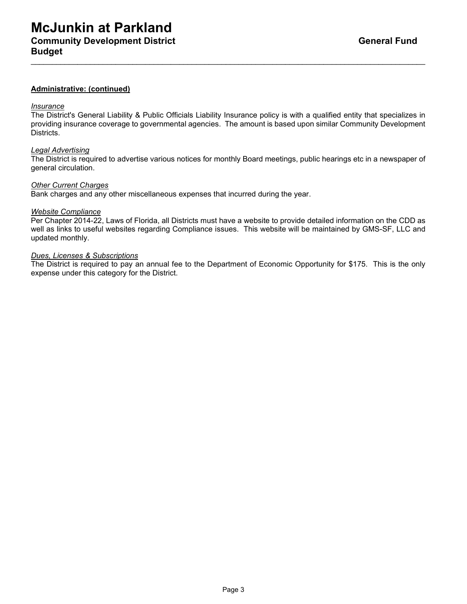### **Administrative: (continued)**

#### *Insurance*

The District's General Liability & Public Officials Liability Insurance policy is with a qualified entity that specializes in providing insurance coverage to governmental agencies. The amount is based upon similar Community Development Districts.

\_\_\_\_\_\_\_\_\_\_\_\_\_\_\_\_\_\_\_\_\_\_\_\_\_\_\_\_\_\_\_\_\_\_\_\_\_\_\_\_\_\_\_\_\_\_\_\_\_\_\_\_\_\_\_\_\_\_\_\_\_\_\_\_\_\_\_\_\_\_\_\_\_\_\_\_\_\_\_\_\_\_\_\_\_\_\_\_\_\_\_\_\_

#### *Legal Advertising*

The District is required to advertise various notices for monthly Board meetings, public hearings etc in a newspaper of general circulation.

#### *Other Current Charges*

Bank charges and any other miscellaneous expenses that incurred during the year.

#### *Website Compliance*

Per Chapter 2014-22, Laws of Florida, all Districts must have a website to provide detailed information on the CDD as well as links to useful websites regarding Compliance issues. This website will be maintained by GMS-SF, LLC and updated monthly.

#### *Dues, Licenses & Subscriptions*

The District is required to pay an annual fee to the Department of Economic Opportunity for \$175. This is the only expense under this category for the District.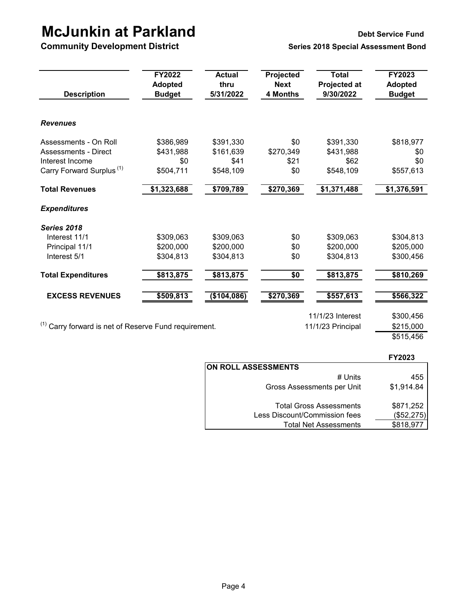# **McJunkin at Parkland**<br> **Debt Service Fund Community Development District**<br> **Debt Series 2018 Special Assessment Bond**

**Community Development District** 

| <b>Description</b>                                               | FY2022<br><b>Adopted</b><br><b>Budget</b> | <b>Actual</b><br>thru<br>5/31/2022 | Projected<br><b>Next</b><br><b>4 Months</b> | <b>Total</b><br><b>Projected at</b><br>9/30/2022 | FY2023<br><b>Adopted</b><br><b>Budget</b> |
|------------------------------------------------------------------|-------------------------------------------|------------------------------------|---------------------------------------------|--------------------------------------------------|-------------------------------------------|
| <b>Revenues</b>                                                  |                                           |                                    |                                             |                                                  |                                           |
| Assessments - On Roll                                            | \$386,989                                 | \$391,330                          | \$0                                         | \$391,330                                        | \$818,977                                 |
| Assessments - Direct                                             | \$431,988                                 | \$161,639                          | \$270,349                                   | \$431,988                                        | \$0                                       |
| Interest Income                                                  | \$0                                       | \$41                               | \$21                                        | \$62                                             | \$0                                       |
| Carry Forward Surplus <sup>(1)</sup>                             | \$504,711                                 | \$548,109                          | \$0                                         | \$548,109                                        | \$557,613                                 |
| <b>Total Revenues</b>                                            | \$1,323,688                               | \$709,789                          | \$270,369                                   | \$1,371,488                                      | \$1,376,591                               |
| <b>Expenditures</b>                                              |                                           |                                    |                                             |                                                  |                                           |
| Series 2018                                                      |                                           |                                    |                                             |                                                  |                                           |
| Interest 11/1                                                    | \$309,063                                 | \$309,063                          | \$0                                         | \$309,063                                        | \$304,813                                 |
| Principal 11/1                                                   | \$200,000                                 | \$200,000                          | \$0                                         | \$200,000                                        | \$205,000                                 |
| Interest 5/1                                                     | \$304,813                                 | \$304,813                          | \$0                                         | \$304,813                                        | \$300,456                                 |
| <b>Total Expenditures</b>                                        | \$813,875                                 | \$813,875                          | \$0                                         | \$813,875                                        | \$810,269                                 |
| <b>EXCESS REVENUES</b>                                           | \$509,813                                 | (\$104,086)                        | \$270,369                                   | \$557,613                                        | \$566,322                                 |
|                                                                  |                                           |                                    |                                             | 11/1/23 Interest                                 | \$300,456                                 |
| <sup>(1)</sup> Carry forward is net of Reserve Fund requirement. |                                           |                                    |                                             | 11/1/23 Principal                                | \$215,000                                 |
|                                                                  |                                           |                                    |                                             |                                                  | \$515,456                                 |

|                                | <b>FY2023</b> |
|--------------------------------|---------------|
| <b>ON ROLL ASSESSMENTS</b>     |               |
| # Units                        | 455           |
| Gross Assessments per Unit     | \$1,914.84    |
| <b>Total Gross Assessments</b> | \$871,252     |
| Less Discount/Commission fees  | (\$52,275)    |
| <b>Total Net Assessments</b>   | \$818,977     |